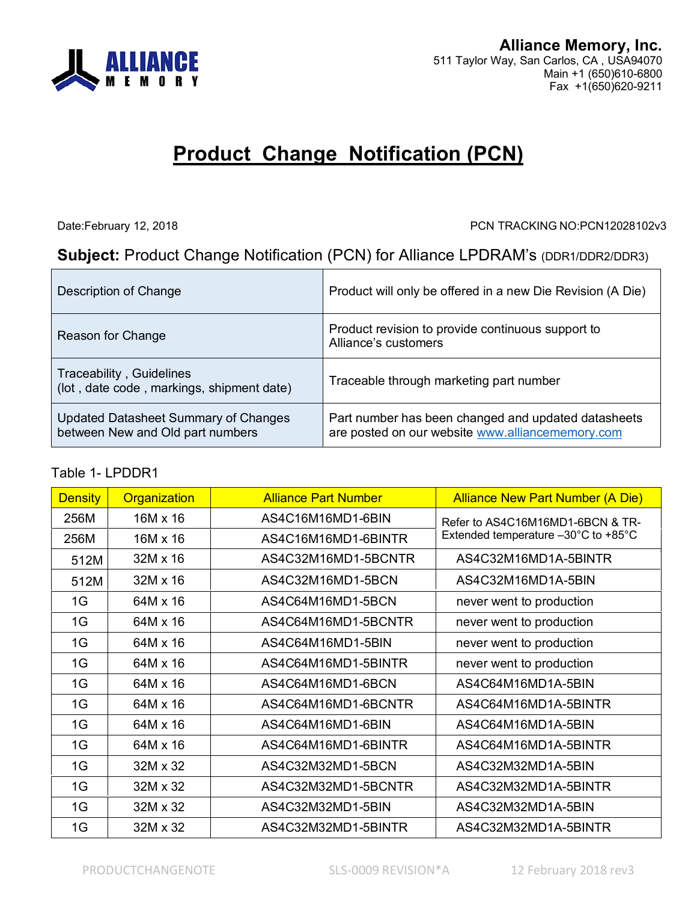

# **Product Change Notification (PCN)**

Date:February 12, 2018 PCN TRACKING NO:PCN12028102v3

## **Subject:** Product Change Notification (PCN) for Alliance LPDRAM's (DDR1/DDR2/DDR3)

| Description of Change                                                    | Product will only be offered in a new Die Revision (A Die)                                              |
|--------------------------------------------------------------------------|---------------------------------------------------------------------------------------------------------|
| Reason for Change                                                        | Product revision to provide continuous support to<br>Alliance's customers                               |
| Traceability, Guidelines<br>(lot, date code, markings, shipment date)    | Traceable through marketing part number                                                                 |
| Updated Datasheet Summary of Changes<br>between New and Old part numbers | Part number has been changed and updated datasheets<br>are posted on our website www.alliancememory.com |

#### Table 1- LPDDR1

| <b>Density</b> | Organization    | <b>Alliance Part Number</b> | <b>Alliance New Part Number (A Die)</b> |  |
|----------------|-----------------|-----------------------------|-----------------------------------------|--|
| 256M           | 16M x 16        | AS4C16M16MD1-6BIN           | Refer to AS4C16M16MD1-6BCN & TR-        |  |
| 256M           | $16M \times 16$ | AS4C16M16MD1-6BINTR         | Extended temperature -30°C to +85°C     |  |
| 512M           | $32M \times 16$ | AS4C32M16MD1-5BCNTR         | AS4C32M16MD1A-5BINTR                    |  |
| 512M           | $32M \times 16$ | AS4C32M16MD1-5BCN           | AS4C32M16MD1A-5BIN                      |  |
| 1G             | 64M x 16        | AS4C64M16MD1-5BCN           | never went to production                |  |
| 1G             | 64M x 16        | AS4C64M16MD1-5BCNTR         | never went to production                |  |
| 1G             | 64M x 16        | AS4C64M16MD1-5BIN           | never went to production                |  |
| 1G             | 64M x 16        | AS4C64M16MD1-5BINTR         | never went to production                |  |
| 1G             | 64M x 16        | AS4C64M16MD1-6BCN           | AS4C64M16MD1A-5BIN                      |  |
| 1G             | 64M x 16        | AS4C64M16MD1-6BCNTR         | AS4C64M16MD1A-5BINTR                    |  |
| 1G             | 64M x 16        | AS4C64M16MD1-6BIN           | AS4C64M16MD1A-5BIN                      |  |
| 1G             | 64M x 16        | AS4C64M16MD1-6BINTR         | AS4C64M16MD1A-5BINTR                    |  |
| 1G             | 32M x 32        | AS4C32M32MD1-5BCN           | AS4C32M32MD1A-5BIN                      |  |
| 1G             | 32M x 32        | AS4C32M32MD1-5BCNTR         | AS4C32M32MD1A-5BINTR                    |  |
| 1G             | 32M x 32        | AS4C32M32MD1-5BIN           | AS4C32M32MD1A-5BIN                      |  |
| 1G             | 32M x 32        | AS4C32M32MD1-5BINTR         | AS4C32M32MD1A-5BINTR                    |  |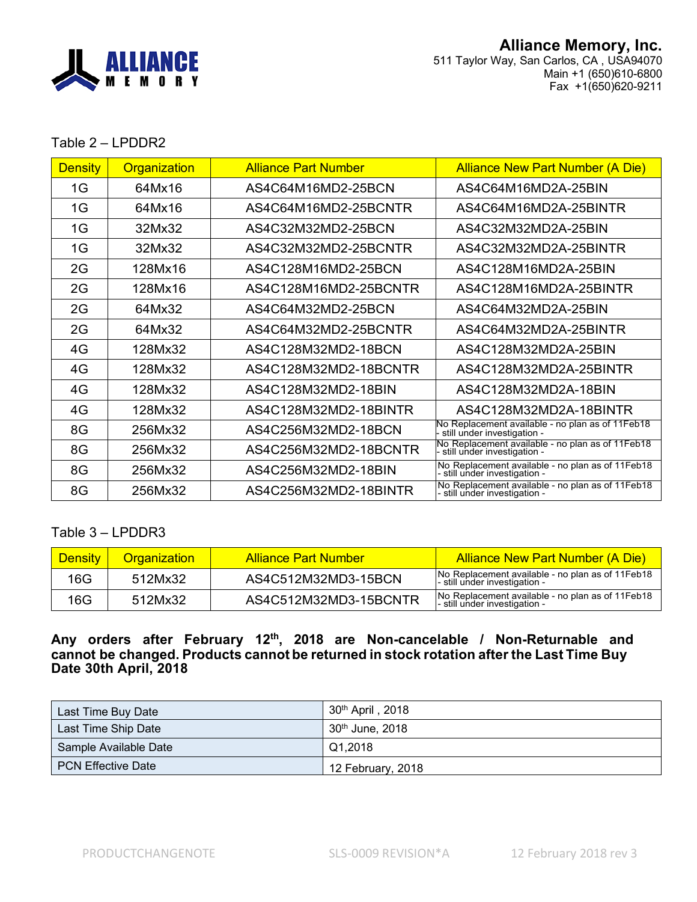

#### Table 2 – LPDDR2

| <b>Density</b> | Organization | <b>Alliance Part Number</b>                   | <b>Alliance New Part Number (A Die)</b>                                           |
|----------------|--------------|-----------------------------------------------|-----------------------------------------------------------------------------------|
| 1G             | 64Mx16       | AS4C64M16MD2-25BCN                            | AS4C64M16MD2A-25BIN                                                               |
| 1G             | 64Mx16       | AS4C64M16MD2-25BCNTR<br>AS4C64M16MD2A-25BINTR |                                                                                   |
| 1G             | 32Mx32       | AS4C32M32MD2-25BCN                            | AS4C32M32MD2A-25BIN                                                               |
| 1G             | 32Mx32       | AS4C32M32MD2-25BCNTR                          | AS4C32M32MD2A-25BINTR                                                             |
| 2G             | 128Mx16      | AS4C128M16MD2-25BCN                           | AS4C128M16MD2A-25BIN                                                              |
| 2G             | 128Mx16      | AS4C128M16MD2-25BCNTR                         | AS4C128M16MD2A-25BINTR                                                            |
| 2G             | 64Mx32       | AS4C64M32MD2-25BCN                            | AS4C64M32MD2A-25BIN                                                               |
| 2G             | 64Mx32       | AS4C64M32MD2-25BCNTR                          | AS4C64M32MD2A-25BINTR                                                             |
| 4G             | 128Mx32      | AS4C128M32MD2-18BCN                           | AS4C128M32MD2A-25BIN                                                              |
| 4G             | 128Mx32      | AS4C128M32MD2-18BCNTR                         | AS4C128M32MD2A-25BINTR                                                            |
| 4G             | 128Mx32      | AS4C128M32MD2-18BIN                           | AS4C128M32MD2A-18BIN                                                              |
| 4G             | 128Mx32      | AS4C128M32MD2-18BINTR                         | AS4C128M32MD2A-18BINTR                                                            |
| 8G             | 256Mx32      | AS4C256M32MD2-18BCN                           | No Replacement available - no plan as of 11 Feb 18<br>still under investigation - |
| 8G             | 256Mx32      | AS4C256M32MD2-18BCNTR                         | No Replacement available - no plan as of 11Feb18<br>- still under investigation - |
| 8G             | 256Mx32      | AS4C256M32MD2-18BIN                           | No Replacement available - no plan as of 11Feb18<br>- still under investigation - |
| 8G             | 256Mx32      | AS4C256M32MD2-18BINTR                         | No Replacement available - no plan as of 11Feb18<br>- still under investigation - |

### Table 3 – LPDDR3

| <b>Density</b> | <b>Organization</b> | Alliance Part Number  | Alliance New Part Number (A Die)                                                  |
|----------------|---------------------|-----------------------|-----------------------------------------------------------------------------------|
| 16G            | 512Mx32             | AS4C512M32MD3-15BCN   | No Replacement available - no plan as of 11Feb18<br>- still under investigation - |
| 16G            | 512Mx32             | AS4C512M32MD3-15BCNTR | No Replacement available - no plan as of 11Feb18<br>- still under investigation - |

#### **Any orders after February 12 th , 2018 are Non-cancelable / Non-Returnable and cannot be changed. Products cannot be returned in stock rotation after the Last Time Buy Date 30th April, 2018**

| Last Time Buy Date        | $30th$ April, 2018          |
|---------------------------|-----------------------------|
| Last Time Ship Date       | 30 <sup>th</sup> June, 2018 |
| Sample Available Date     | Q1.2018                     |
| <b>PCN Effective Date</b> | 12 February, 2018           |